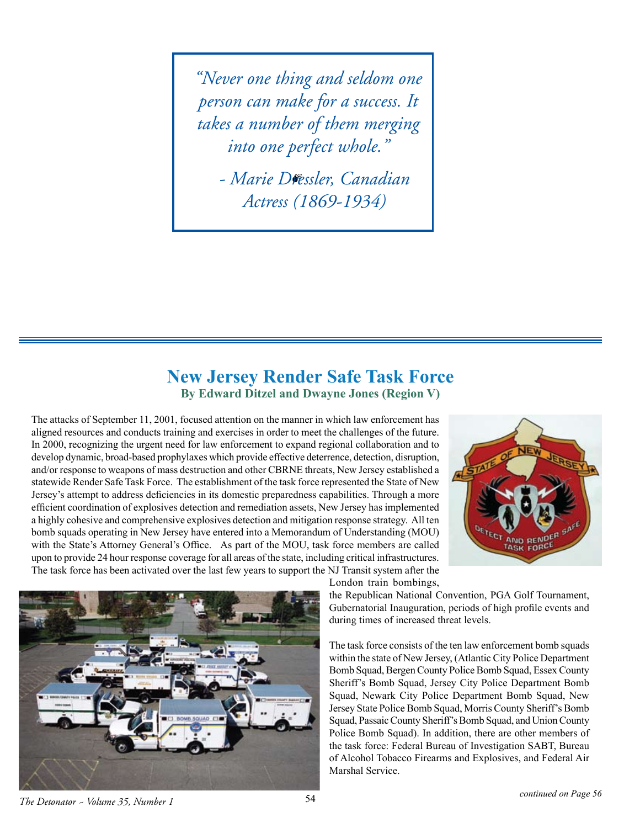*"Never one thing and seldom one person can make for a success. It takes a number of them merging into one perfect whole."*

*- Marie Dressler, Canadian Actress (1869-1934)*

## **New Jersey Render Safe Task Force By Edward Ditzel and Dwayne Jones (Region V)**

The attacks of September 11, 2001, focused attention on the manner in which law enforcement has aligned resources and conducts training and exercises in order to meet the challenges of the future. In 2000, recognizing the urgent need for law enforcement to expand regional collaboration and to develop dynamic, broad-based prophylaxes which provide effective deterrence, detection, disruption, and/or response to weapons of mass destruction and other CBRNE threats, New Jersey established a statewide Render Safe Task Force. The establishment of the task force represented the State of New Jersey's attempt to address deficiencies in its domestic preparedness capabilities. Through a more efficient coordination of explosives detection and remediation assets, New Jersey has implemented a highly cohesive and comprehensive explosives detection and mitigation response strategy. All ten bomb squads operating in New Jersey have entered into a Memorandum of Understanding (MOU) with the State's Attorney General's Office. As part of the MOU, task force members are called upon to provide 24 hour response coverage for all areas of the state, including critical infrastructures. The task force has been activated over the last few years to support the NJ Transit system after the





London train bombings,

the Republican National Convention, PGA Golf Tournament, Gubernatorial Inauguration, periods of high profile events and during times of increased threat levels.

The task force consists of the ten law enforcement bomb squads within the state of New Jersey, (Atlantic City Police Department Bomb Squad, Bergen County Police Bomb Squad, Essex County Sheriff's Bomb Squad, Jersey City Police Department Bomb Squad, Newark City Police Department Bomb Squad, New Jersey State Police Bomb Squad, Morris County Sheriff's Bomb Squad, Passaic County Sheriff's Bomb Squad, and Union County Police Bomb Squad). In addition, there are other members of the task force: Federal Bureau of Investigation SABT, Bureau of Alcohol Tobacco Firearms and Explosives, and Federal Air Marshal Service.

*The Detonator ~ Volume 35, Number 1* <sup>54</sup> *continued on Page 56*